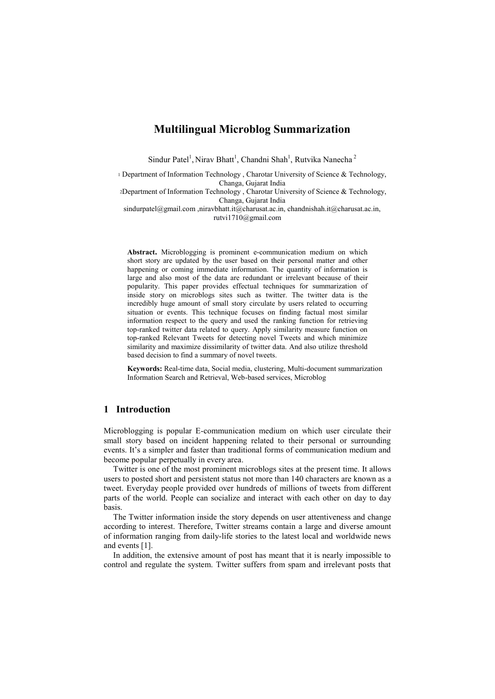# **Multilingual Microblog Summarization**

Sindur Patel<sup>1</sup>, Nirav Bhatt<sup>1</sup>, Chandni Shah<sup>1</sup>, Rutvika Nanecha<sup>2</sup>

<sup>1</sup> Department of Information Technology, Charotar University of Science & Technology, Changa, Gujarat India

<sup>2</sup>Department of Information Technology , Charotar University of Science & Technology, Changa, Gujarat India

sindurpatel@gmail.com ,niravbhatt.it@charusat.ac.in, chandnishah.it@charusat.ac.in, [rutvi1710@gmail.com](mailto:rutvi1710@gmail.com)

**Abstract.** Microblogging is prominent e-communication medium on which short story are updated by the user based on their personal matter and other happening or coming immediate information. The quantity of information is large and also most of the data are redundant or irrelevant because of their popularity. This paper provides effectual techniques for summarization of inside story on microblogs sites such as twitter. The twitter data is the incredibly huge amount of small story circulate by users related to occurring situation or events. This technique focuses on finding factual most similar information respect to the query and used the ranking function for retrieving top-ranked twitter data related to query. Apply similarity measure function on top-ranked Relevant Tweets for detecting novel Tweets and which minimize similarity and maximize dissimilarity of twitter data. And also utilize threshold based decision to find a summary of novel tweets.

**Keywords:** Real-time data, Social media, clustering, Multi-document summarization Information Search and Retrieval, Web-based services, Microblog

## **1 Introduction**

Microblogging is popular E-communication medium on which user circulate their small story based on incident happening related to their personal or surrounding events. It's a simpler and faster than traditional forms of communication medium and become popular perpetually in every area.

Twitter is one of the most prominent microblogs sites at the present time. It allows users to posted short and persistent status not more than 140 characters are known as a tweet. Everyday people provided over hundreds of millions of tweets from different parts of the world. People can socialize and interact with each other on day to day basis.

The Twitter information inside the story depends on user attentiveness and change according to interest. Therefore, Twitter streams contain a large and diverse amount of information ranging from daily-life stories to the latest local and worldwide news and events [1].

In addition, the extensive amount of post has meant that it is nearly impossible to control and regulate the system. Twitter suffers from spam and irrelevant posts that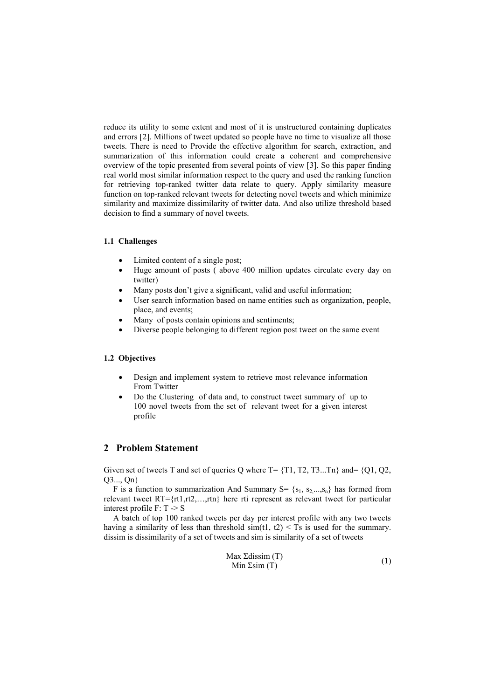reduce its utility to some extent and most of it is unstructured containing duplicates and errors [2]. Millions of tweet updated so people have no time to visualize all those tweets. There is need to Provide the effective algorithm for search, extraction, and summarization of this information could create a coherent and comprehensive overview of the topic presented from several points of view [3]. So this paper finding real world most similar information respect to the query and used the ranking function for retrieving top-ranked twitter data relate to query. Apply similarity measure function on top-ranked relevant tweets for detecting novel tweets and which minimize similarity and maximize dissimilarity of twitter data. And also utilize threshold based decision to find a summary of novel tweets.

### **1.1 Challenges**

- Limited content of a single post;
- Huge amount of posts ( above 400 million updates circulate every day on twitter)
- Many posts don't give a significant, valid and useful information;
- User search information based on name entities such as organization, people, place, and events;
- Many of posts contain opinions and sentiments;
- Diverse people belonging to different region post tweet on the same event

### **1.2 Objectives**

- Design and implement system to retrieve most relevance information From Twitter
- Do the Clustering of data and, to construct tweet summary of up to 100 novel tweets from the set of relevant tweet for a given interest profile

# **2 Problem Statement**

Given set of tweets T and set of queries Q where  $T = \{T1, T2, T3...Tn\}$  and=  $\{Q1, Q2,$ Q3..., Qn}

F is a function to summarization And Summary S=  $\{s_1, s_2, ..., s_n\}$  has formed from relevant tweet RT={rt1,rt2,…,rtn} here rti represent as relevant tweet for particular interest profile F: T -> S

A batch of top 100 ranked tweets per day per interest profile with any two tweets having a similarity of less than threshold  $sim(t1, t2) < Ts$  is used for the summary. dissim is dissimilarity of a set of tweets and sim is similarity of a set of tweets

$$
\begin{array}{ll}\n\text{Max Zdissim (T)}\\
\text{Min Zsim (T)}\n\end{array} \n\tag{1}
$$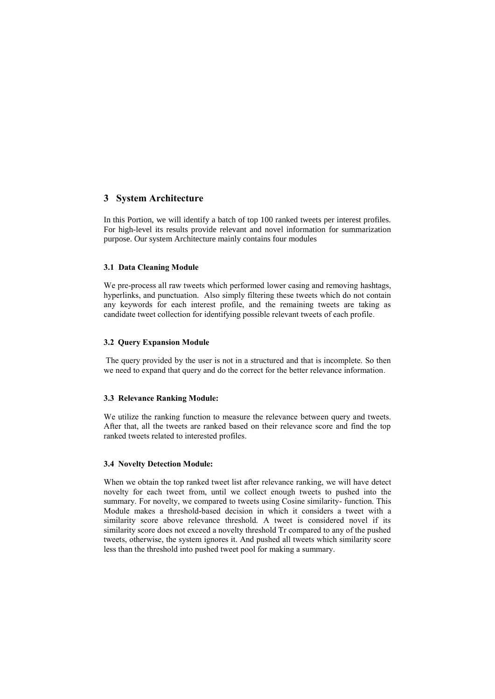# **3 System Architecture**

In this Portion, we will identify a batch of top 100 ranked tweets per interest profiles. For high-level its results provide relevant and novel information for summarization purpose. Our system Architecture mainly contains four modules

### **3.1 Data Cleaning Module**

We pre-process all raw tweets which performed lower casing and removing hashtags, hyperlinks, and punctuation. Also simply filtering these tweets which do not contain any keywords for each interest profile, and the remaining tweets are taking as candidate tweet collection for identifying possible relevant tweets of each profile.

### **3.2 Query Expansion Module**

The query provided by the user is not in a structured and that is incomplete. So then we need to expand that query and do the correct for the better relevance information.

### **3.3 Relevance Ranking Module:**

We utilize the ranking function to measure the relevance between query and tweets. After that, all the tweets are ranked based on their relevance score and find the top ranked tweets related to interested profiles.

#### **3.4 Novelty Detection Module:**

When we obtain the top ranked tweet list after relevance ranking, we will have detect novelty for each tweet from, until we collect enough tweets to pushed into the summary. For novelty, we compared to tweets using Cosine similarity- function. This Module makes a threshold-based decision in which it considers a tweet with a similarity score above relevance threshold. A tweet is considered novel if its similarity score does not exceed a novelty threshold Tr compared to any of the pushed tweets, otherwise, the system ignores it. And pushed all tweets which similarity score less than the threshold into pushed tweet pool for making a summary.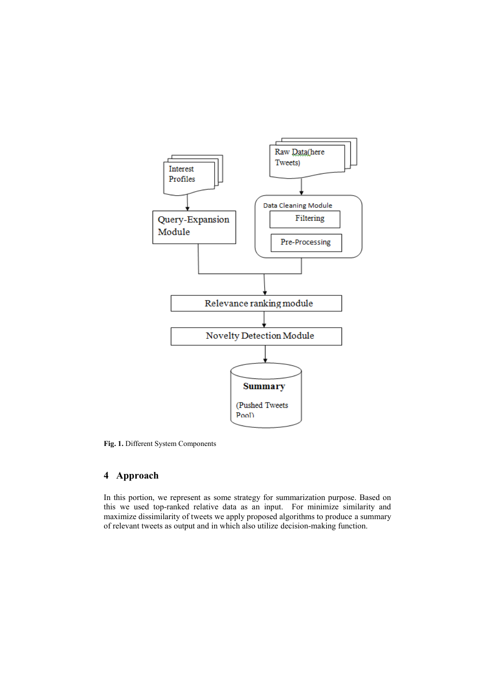

**Fig. 1.** Different System Components

# **4 Approach**

In this portion, we represent as some strategy for summarization purpose. Based on this we used top-ranked relative data as an input. For minimize similarity and maximize dissimilarity of tweets we apply proposed algorithms to produce a summary of relevant tweets as output and in which also utilize decision-making function.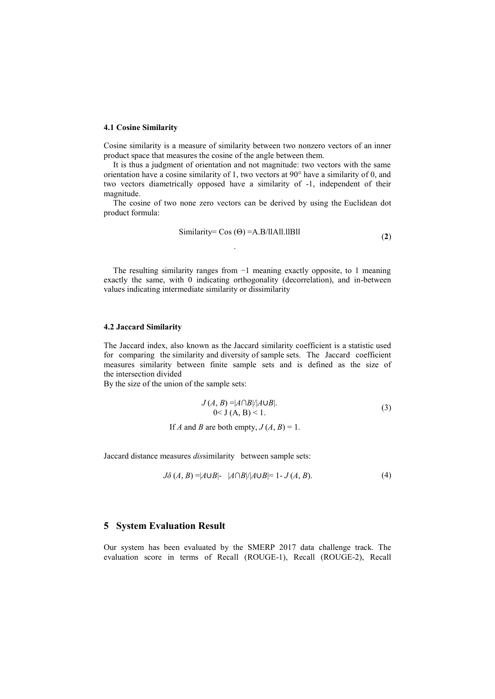#### **4.1 Cosine Similarity**

Cosine similarity is a measure of similarity between two nonzero vectors of an inner product space that measures the cosine of the angle between them.

It is thus a judgment of orientation and not magnitude: two vectors with the same orientation have a cosine similarity of 1, two vectors at 90° have a similarity of 0, and two vectors diametrically opposed have a similarity of -1, independent of their magnitude.

The cosine of two none zero vectors can be derived by using the Euclidean dot product formula:

Similarly = 
$$
\cos(\Theta)
$$
 = A.B/IIAII.IIBII (2)

The resulting similarity ranges from −1 meaning exactly opposite, to 1 meaning exactly the same, with 0 indicating orthogonality (decorrelation), and in-between values indicating intermediate similarity or dissimilarity

.

#### **4.2 Jaccard Similarity**

The Jaccard index, also known as the Jaccard similarity coefficient is a statistic used for comparing the similarity and diversity of sample sets. The Jaccard coefficient measures similarity between finite sample sets and is defined as the size of the intersection divided

By the size of the union of the sample sets:

$$
J(A, B) = |A \cap B| / |A \cup B|.
$$
  
0 < J (A, B) < 1. (3)

If *A* and *B* are both empty,  $J(A, B) = 1$ .

Jaccard distance measures *dis*similarity between sample sets:

$$
J\delta(A,B) = |A \cup B| - |A \cap B| / |A \cup B| = 1 - J(A,B).
$$
 (4)

## **5 System Evaluation Result**

Our system has been evaluated by the SMERP 2017 data challenge track. The evaluation score in terms of Recall (ROUGE-1), Recall (ROUGE-2), Recall